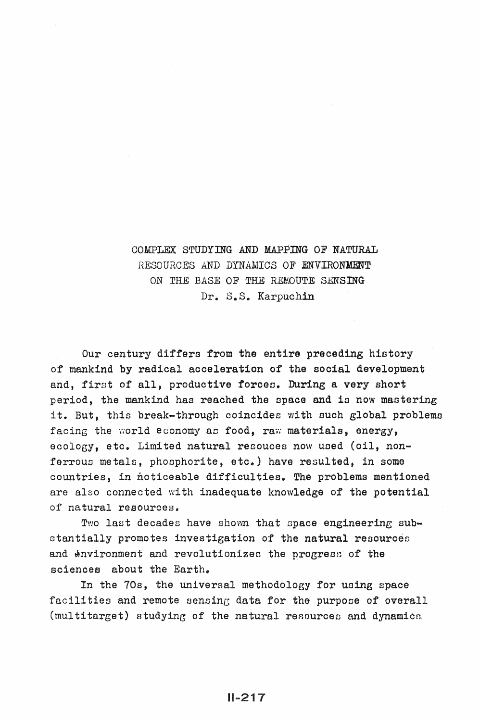## COMPLEX STUDYING AND' MAPPING OF NATURAL RESOURCES AND DYNAMICS OF ENVIRONMENT ON THE BASE OF THE REMOUTE SENSING Dr. S.S. Karpuchin

Our century differs from the entire preceding history of mankind by radical acceleration of the social development and. first of all, productive forces. During a very short period, the mankind hao reached the space and is now mastering it. But, this break-through coincides with such global problems facing the world economy as food, raw materials, energy, ecology, etc. Limited natural resouces now used (oil, nonferrous metals, phosphorite, etc.) have resulted, in some countries, in noticeable difficulties. The problems mentioned are also connected with inadequate knowledge of the potential of natural resources.

Two last decades have shown that space engineering substantially promotes investigation of the natural resources and environment and revolutionizes the progress of the sciences about the Earth.

In the 70s, the universal methodology for using space facilities and remote sensing data for the purpose of overall (multitarget) studying of the natural resources and dynamics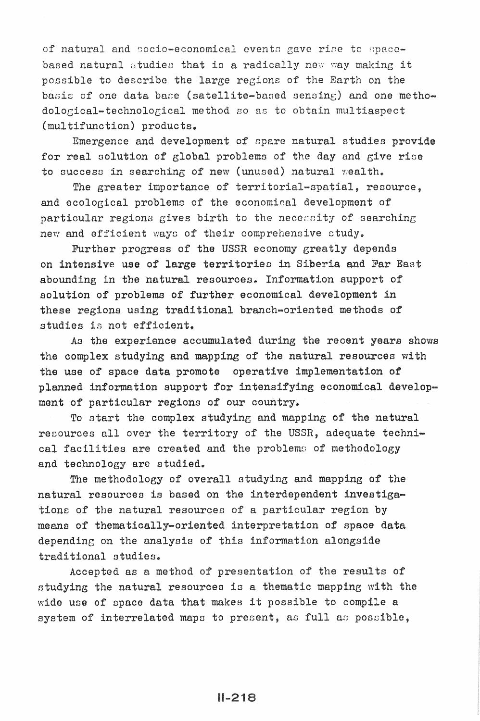of natural and socio-economical events gave rise to spacebased natural studies that is a radically new way making it possible to describe the large regions of the Earth on the basis of one data base (satellite-based sensing) and one methodological-technological method so as to obtain multiaspect (multifunction) products.

Emergence and development of spare natural studies provide for real solution of global problems of the day and give rise to success in searching of new (unused) natural wealth.

The greater importance of territorial-spatial, resource, and ecological problems of the economical development of particular regions gives birth to the necessity of searching new and efficient ways of their comprehensive study.

Further progress of the USSR economy greatly depends on intensive use of large territories in Siberia and Far East abounding in the natural resources. Information support of solution of problems of further economical development in these regions using traditional branch-oriented methods of studies is not efficient.

As the experience accumulated during the recent years shows the complex studying and mapping of the natural resources with the use of space data promote operative implementation of planned information support for intensifying economical development of particular regions of our country.

To start the complex studying and mapping of the natural resources all over the territory of the USSR, adequate technical facilities are created and the problems of methodology and technology are studied.

The methodology of overall studying and mapping of the natural resources is based on the interdependent investigations of the natural resources of a particular region by means of thematically-oriented interpretation of space data depending on the analysis of this information alongside traditional studies.

Accepted as a method of presentation of the results of studying the natural resources is a thematic mapping with the wide use of space data that makes it possible to compile a system of interrelated maps to present, as full as possible,

 $IL218$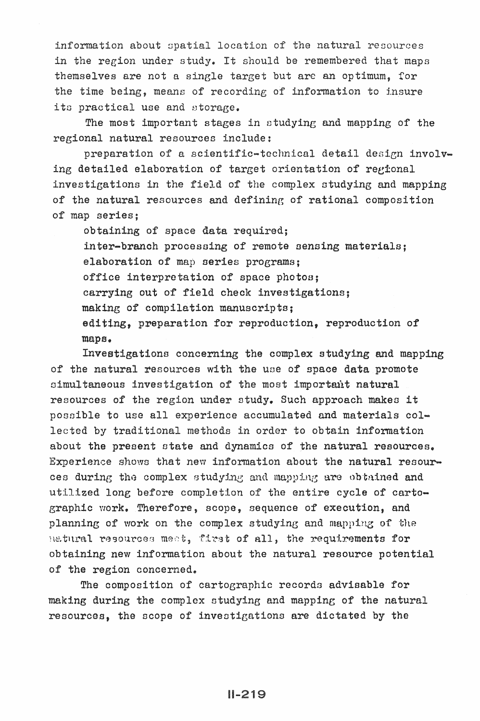information about spatial location of the natural resources in the region under study. It should be remembered that maps themselves are not a single target but are an optimum. for the time being, means of recording of information to insure its practical use and storage.

The most important stages in studying and mapping of the regional natural resources include:

preparation of a scientific-technical detail design involving detailed elaboration of target orientation of regional investigations in the field of the complex studying and mapping of the natural resources and defining of rational composition of map series:

obtaining of space data required; inter-branch processing of remote sensing materials: elaboration of map series programs; office interpretation of space photos; carrying out of field check investigations: making of compilation manuscripts; editing, preparation for reproduction, reproduction of maps.

Investigations concerning the complex studying and mapping of the natural resources with the use of space data promote simultaneous investigation of the most important natural resources of the region under study. Such approach makes it possible to use all experience accumulated and materials collected by traditional methods in order to obtain information about the present state and dynamics of the natural resources. Experience shows that new information about the natural resources during the complex studying and mapping are obtained and utilized long before completion of the entire cycle of cartographic work. Therefore, scope, sequence of execution, and planning of work on the complex studying and mapping of the natural resources meet, first of all, the requirements for obtaining new information about the natural resource potential of the region concerned.

The composition of cartographic records advisable for making during the complex studying and mapping of the natural resources, the scope of investigations are dictated by the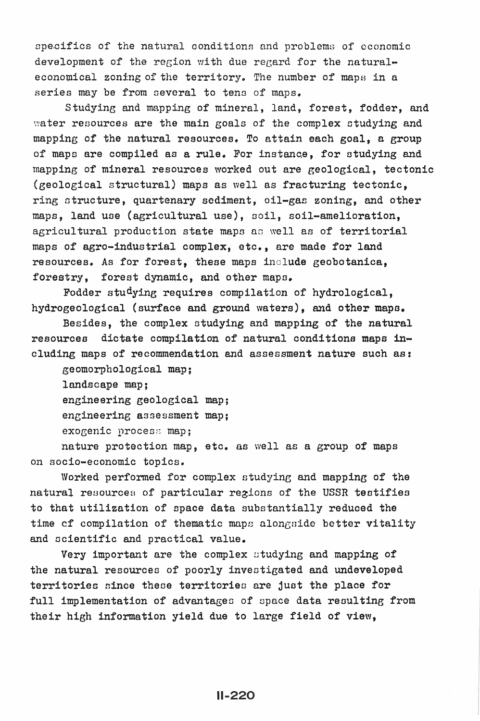specifics of the natural conditions and problems of economic development of the region with due regard for the naturaleconomical zoning of the territory. The number of maps in a series may be from several to tens of maps.

Studying and mapping of mineral, land, forest, fodder, and water resources are the main goals of the complex studying and mapping of the natural resources. To attain each goal, a group of maps are compiled as a rule. For instance, for studying and mapping of mineral resources worked out are geological, tectonic (geological structural) maps as well as fracturing tectonic, ring structure, quartenary sediment, oil-gas zoning, and other maps, land use (agricultural use), soil, soil-amelioration, agricultural production state maps as well as of territorial maps of agro-industrial complex, etc., are made for land resources. As for forest, these maps include geobotanica, forestry, forest dynamic, and other maps.

Fodder studyine requires compilation of hydrological, hydrogeological (surface and ground waters), and other mapa.

Besides, the complex studying and mapping of the natural resources dictate compilation of natural conditions maps including maps of recommendation and assessment nature such as:

geomorphological map;

landscape map;

engineering geological map;

engineering assessment map;

exogenic process map:

nature protection map, etc. as well as a group of maps on socio-economic topics.

Worked performed for complex studying and mapping of the natural resources of particular regions of the USSR testifies to that utilization of space data substantially reduced the time cf compilation of thematic maps alongside better vitality and scientific and practical value.

Very important are the complex studying and mapping of the natural resources of poorly investigated and undeveloped territories since these territories are just the place for full implementation of advantages of space data resulting from their high information yield due to large field of view,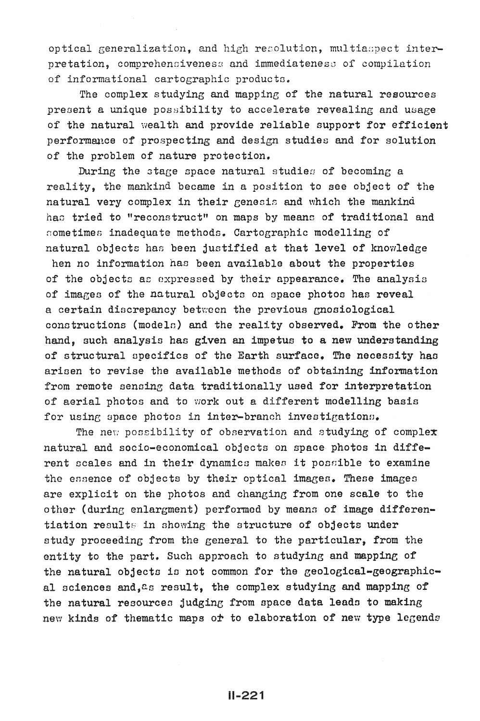optical generalization, and high resolution, multiaspect interpretation, comprehensiveness and immediateness of compilation of informational cartographic products.

The complex studying and mapping of the natural resources present a unique possibility to accelerate revealing and usage of the natural wealth and provide reliable support for efficient performance of prospecting and design studies and for solution of the problem of nature protection.

During the stage space natural studies of becoming a reality, the mankind became in a position to see object of the natural very complex in their genesis and which the mankind has tried to "reconstruct" on maps by means of traditional and sometimes inadequate methods. Cartographic modelling of natural objects has been justified at that level of knowledge

hen no information has been available about the properties of the objects as expressed by their appearance. The analysis of images of the natural objects on space photos has reveal a certain discrepancy between the previous gnosiological constructions (models) and the reality observed. From the other hand, such analysis has given an impetus to a new understanding of structural specifics of the Earth surface. The necessity has arisen to revise the available methods of obtaining information from remote sensing data traditionally used for interpretation of aerial photos and to work out a different modelling basis for using space photos in inter-branch investigations.

The new possibility of observation and studying of complex natural and socio-economical objects on space photos in different scales and in their dynamics makes it possible to examine the essence of objects by their optical images. These images are explicit on the photos and changing from one scale to the other (during enlargment) performed by means of image differentiation results in showing the structure of objects under study proceeding from the general to the particular, from the entity to the part. Such approach to studying and mapping of the natural objects is not common for the geological-geographical sciences and, as result, the complex studying and mapping of the natural resources judging from space data leads to making new kinds of thematic maps or to elaboration of new type legends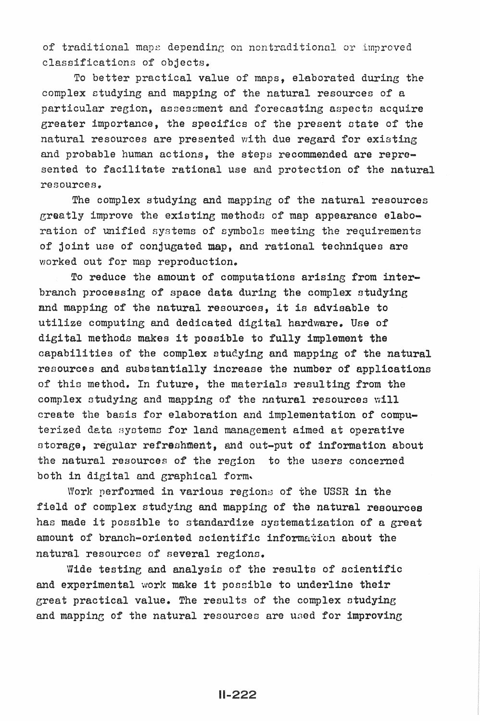of traditional maps depending on nontraditional or improved classifications of objects.

To better practical value of maps, elaborated during the complex ctudying and mapping of the natural resources of a particular region, assessment and forecasting aspects acquire greater importance, the specifics of the present state of the natural resources are presented with due regard for existing and probable human actions, the steps recommended are represented to facilitate rational use and protection of the natural resources.

The complex studying and mapping of the natural resources greatly improve the existing methods of map appearance elaboration of unified systems of symbols meeting the requirements of joint use of conjugated map, and rational techniques are worked out for map reproduction.

To reduce the amount of computations arising from interbranch processing of space data during the complex studying and mapping of the natural resources, it is advisable to utilize computing and dedicated digital hardware. Use of digital methods makes it possible to fully implement the capabilities of the complex studying and mapping of the natural resources and substantially increase the number of applications of this method. In future, the materials resulting from the complex studying and mapping of the natural resources will create the basis for elaboration and implementation of computerized data systems for land management aimed at operative storage, regular refreshment, and out-put of information about the natural resources of the region to the users concerned both in digital and graphical form.

Work performed in various regions of the USSR in the field of complex studying and mapping of the natural resources has made it possible to standardize systematization of a great amount of branch-oriented scientific information about the natural resources of several regions.

Wide testing and analysis of the results of scientific and experimental work make it possible to underline their great practical value. The results of the complex otudying and mapping of the natural resources are used for improving